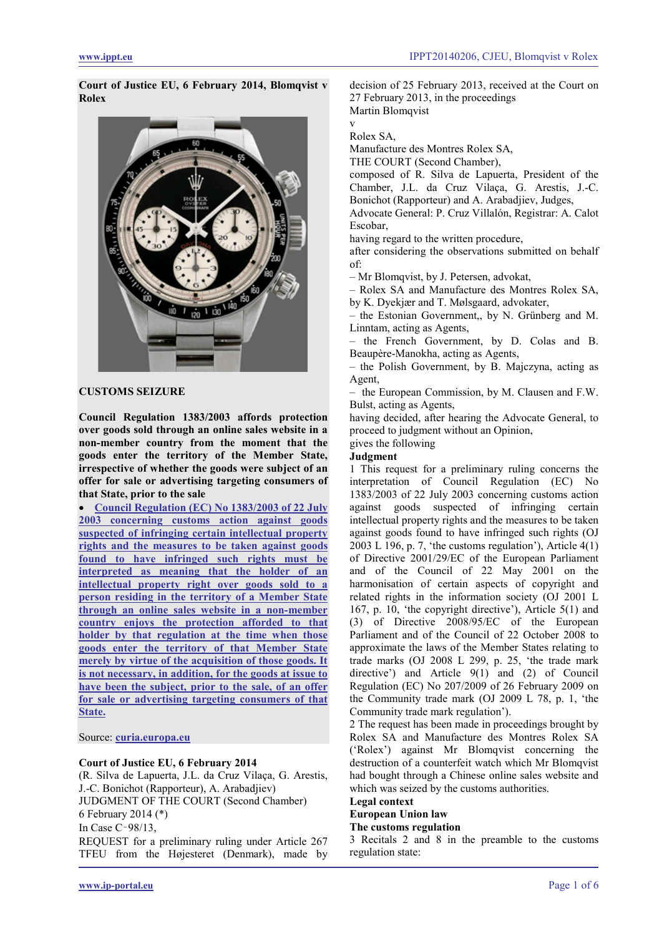**Court of Justice EU, 6 February 2014, Blomqvist v Rolex**



## **CUSTOMS SEIZURE**

**Council Regulation 1383/2003 affords protection over goods sold through an online sales website in a non-member country from the moment that the goods enter the territory of the Member State, irrespective of whether the goods were subject of an offer for sale or advertising targeting consumers of that State, prior to the sale**

• **[Council Regulation \(EC\) No 1383/2003 of 22 July](#page-5-0)  [2003 concerning customs action against goods](#page-5-0)  [suspected of infringing certain intellectual property](#page-5-0)  [rights and the measures to be taken against goods](#page-5-0)  [found to have infringed such rights must be](#page-5-0)  [interpreted as meaning that the holder of an](#page-5-0)  [intellectual property right over goods sold to a](#page-5-0)  [person residing in the territory of a Member State](#page-5-0)  [through an online sales website in a non-member](#page-5-0)  [country enjoys the protection afforded to that](#page-5-0)  [holder by that regulation at the time when those](#page-5-0)  [goods enter the territory of that Member State](#page-5-0)  [merely by virtue of the acquisition of those goods. It](#page-5-0)  [is not necessary, in addition, for the goods at issue to](#page-5-0)  [have been the subject, prior to the sale, of an offer](#page-5-0)  [for sale or advertising targeting consumers of that](#page-5-0)  [State.](#page-5-0)**

Source: **[curia.europa.eu](http://curia.europa.eu/juris/liste.jsf?language=en&jur=C,T,F&num=C-98/13&td=ALL)**

#### **Court of Justice EU, 6 February 2014**

(R. Silva de Lapuerta, J.L. da Cruz Vilaça, G. Arestis, J.-C. Bonichot (Rapporteur), A. Arabadjiev) JUDGMENT OF THE COURT (Second Chamber) 6 February 2014 (\*)

In Case C‑98/13,

REQUEST for a preliminary ruling under Article 267 TFEU from the Højesteret (Denmark), made by decision of 25 February 2013, received at the Court on 27 February 2013, in the proceedings Martin Blomqvist

#### v Rolex SA,

Manufacture des Montres Rolex SA,

THE COURT (Second Chamber),

composed of R. Silva de Lapuerta, President of the Chamber, J.L. da Cruz Vilaça, G. Arestis, J.-C. Bonichot (Rapporteur) and A. Arabadjiev, Judges,

Advocate General: P. Cruz Villalón, Registrar: A. Calot Escobar,

having regard to the written procedure,

after considering the observations submitted on behalf of:

– Mr Blomqvist, by J. Petersen, advokat,

– Rolex SA and Manufacture des Montres Rolex SA, by K. Dyekjær and T. Mølsgaard, advokater,

– the Estonian Government,, by N. Grünberg and M. Linntam, acting as Agents,

– the French Government, by D. Colas and B. Beaupère-Manokha, acting as Agents,

– the Polish Government, by B. Majczyna, acting as Agent,

– the European Commission, by M. Clausen and F.W. Bulst, acting as Agents,

having decided, after hearing the Advocate General, to proceed to judgment without an Opinion,

#### gives the following **Judgment**

1 This request for a preliminary ruling concerns the interpretation of Council Regulation (EC) No 1383/2003 of 22 July 2003 concerning customs action against goods suspected of infringing certain intellectual property rights and the measures to be taken against goods found to have infringed such rights (OJ 2003 L 196, p. 7, 'the customs regulation'), Article  $4(1)$ of Directive 2001/29/EC of the European Parliament and of the Council of 22 May 2001 on the harmonisation of certain aspects of copyright and related rights in the information society (OJ 2001 L 167, p. 10, 'the copyright directive'), Article 5(1) and (3) of Directive 2008/95/EC of the European Parliament and of the Council of 22 October 2008 to approximate the laws of the Member States relating to trade marks (OJ 2008 L 299, p. 25, 'the trade mark directive') and Article 9(1) and (2) of Council Regulation (EC) No 207/2009 of 26 February 2009 on the Community trade mark (OJ 2009 L 78, p. 1, 'the Community trade mark regulation').

2 The request has been made in proceedings brought by Rolex SA and Manufacture des Montres Rolex SA ('Rolex') against Mr Blomqvist concerning the destruction of a counterfeit watch which Mr Blomqvist had bought through a Chinese online sales website and which was seized by the customs authorities.

## **Legal context**

**European Union law**

# **The customs regulation**

3 Recitals 2 and 8 in the preamble to the customs regulation state: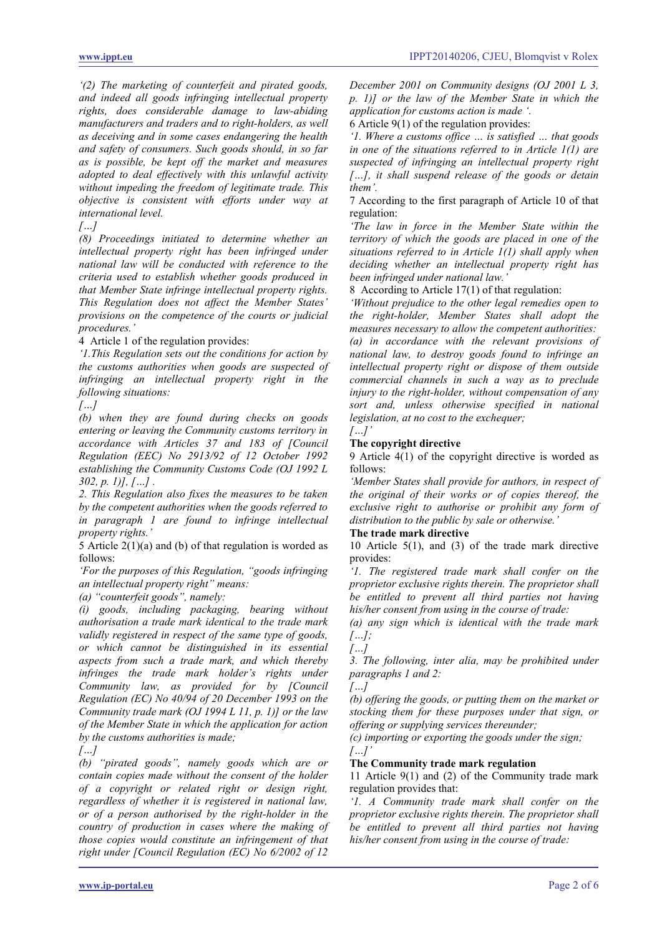*'(2) The marketing of counterfeit and pirated goods, and indeed all goods infringing intellectual property*   $rights$ , does considerable damage to law-abiding *manufacturers and traders and to right-holders, as well as deceiving and in some cases endangering the health and safety of consumers. Such goods should, in so far as is possible, be kept off the market and measures adopted to deal effectively with this unlawful activity without impeding the freedom of legitimate trade. This objective is consistent with efforts under way at international level.* 

*[…]*

*(8) Proceedings initiated to determine whether an intellectual property right has been infringed under national law will be conducted with reference to the criteria used to establish whether goods produced in that Member State infringe intellectual property rights. This Regulation does not affect the Member States' provisions on the competence of the courts or judicial procedures.'*

4 Article 1 of the regulation provides:

*'1.This Regulation sets out the conditions for action by the customs authorities when goods are suspected of infringing an intellectual property right in the following situations:* 

*[…]*

*(b) when they are found during checks on goods entering or leaving the Community customs territory in accordance with Articles 37 and 183 of [Council Regulation (EEC) No 2913/92 of 12 October 1992 establishing the Community Customs Code (OJ 1992 L 302, p. 1)], […] .*

*2. This Regulation also fixes the measures to be taken by the competent authorities when the goods referred to in paragraph 1 are found to infringe intellectual property rights.'*

5 Article 2(1)(a) and (b) of that regulation is worded as follows:

*'For the purposes of this Regulation, "goods infringing an intellectual property right" means:* 

*(a) "counterfeit goods", namely:* 

*(i) goods, including packaging, bearing without authorisation a trade mark identical to the trade mark validly registered in respect of the same type of goods, or which cannot be distinguished in its essential aspects from such a trade mark, and which thereby*  infringes the trade mark holder's rights under *Community law, as provided for by [Council Regulation (EC) No 40/94 of 20 December 1993 on the Community trade mark (OJ 1994 L 11, p. 1)] or the law of the Member State in which the application for action by the customs authorities is made;* 

*[…]*

*(b) "pirated goods", namely goods which are or contain copies made without the consent of the holder of a copyright or related right or design right, regardless of whether it is registered in national law, or of a person authorised by the right-holder in the country of production in cases where the making of those copies would constitute an infringement of that right under [Council Regulation (EC) No 6/2002 of 12* 

*December 2001 on Community designs (OJ 2001 L 3, p. 1)] or the law of the Member State in which the application for customs action is made '.*

6 Article 9(1) of the regulation provides:

*'1. Where a customs office … is satisfied … that goods in one of the situations referred to in Article 1(1) are suspected of infringing an intellectual property right […], it shall suspend release of the goods or detain them'.*

7 According to the first paragraph of Article 10 of that regulation:

*'The law in force in the Member State within the territory of which the goods are placed in one of the situations referred to in Article 1(1) shall apply when deciding whether an intellectual property right has been infringed under national law.'*

8 According to Article 17(1) of that regulation:

*'Without prejudice to the other legal remedies open to the right-holder, Member States shall adopt the measures necessary to allow the competent authorities: (a) in accordance with the relevant provisions of national law, to destroy goods found to infringe an intellectual property right or dispose of them outside commercial channels in such a way as to preclude injury to the right-holder, without compensation of any sort and, unless otherwise specified in national legislation, at no cost to the exchequer;* 

*[…]'*

### **The copyright directive**

9 Article 4(1) of the copyright directive is worded as follows:

*'Member States shall provide for authors, in respect of the original of their works or of copies thereof, the exclusive right to authorise or prohibit any form of distribution to the public by sale or otherwise.'*

#### **The trade mark directive**

10 Article 5(1), and (3) of the trade mark directive provides:

*'1. The registered trade mark shall confer on the proprietor exclusive rights therein. The proprietor shall be entitled to prevent all third parties not having his/her consent from using in the course of trade:* 

*(a) any sign which is identical with the trade mark […];*

*[…]*

*3. The following, inter alia, may be prohibited under paragraphs 1 and 2:* 

*[…]*

*(b) offering the goods, or putting them on the market or stocking them for these purposes under that sign, or offering or supplying services thereunder;* 

*(c) importing or exporting the goods under the sign; […]'*

## **The Community trade mark regulation**

11 Article 9(1) and (2) of the Community trade mark regulation provides that:

*'1. A Community trade mark shall confer on the proprietor exclusive rights therein. The proprietor shall be entitled to prevent all third parties not having his/her consent from using in the course of trade:*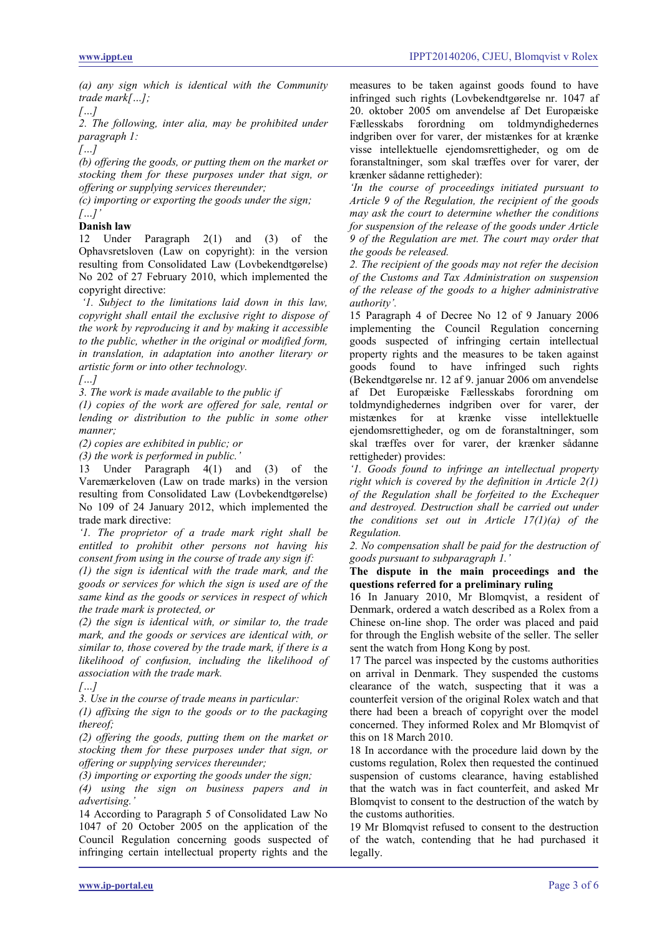*(a) any sign which is identical with the Community trade mark[…];*

### *[…]*

*2. The following, inter alia, may be prohibited under paragraph 1:*

*[…]*

*(b) offering the goods, or putting them on the market or stocking them for these purposes under that sign, or offering or supplying services thereunder;* 

*(c) importing or exporting the goods under the sign; […]'*

## **Danish law**

12 Under Paragraph 2(1) and (3) of the Ophavsretsloven (Law on copyright): in the version resulting from Consolidated Law (Lovbekendtgørelse) No 202 of 27 February 2010, which implemented the copyright directive:

*'1. Subject to the limitations laid down in this law, copyright shall entail the exclusive right to dispose of the work by reproducing it and by making it accessible to the public, whether in the original or modified form, in translation, in adaptation into another literary or artistic form or into other technology.* 

*[…]*

*3. The work is made available to the public if*

*(1) copies of the work are offered for sale, rental or lending or distribution to the public in some other manner;* 

*(2) copies are exhibited in public; or* 

*(3) the work is performed in public.'*

13 Under Paragraph 4(1) and (3) of the Varemærkeloven (Law on trade marks) in the version resulting from Consolidated Law (Lovbekendtgørelse) No 109 of 24 January 2012, which implemented the trade mark directive:

*'1. The proprietor of a trade mark right shall be entitled to prohibit other persons not having his consent from using in the course of trade any sign if:* 

*(1) the sign is identical with the trade mark, and the goods or services for which the sign is used are of the same kind as the goods or services in respect of which the trade mark is protected, or* 

*(2) the sign is identical with, or similar to, the trade mark, and the goods or services are identical with, or similar to, those covered by the trade mark, if there is a likelihood of confusion, including the likelihood of association with the trade mark.* 

*[…]*

*3. Use in the course of trade means in particular:* 

*(1) affixing the sign to the goods or to the packaging thereof;* 

*(2) offering the goods, putting them on the market or stocking them for these purposes under that sign, or offering or supplying services thereunder;* 

*(3) importing or exporting the goods under the sign;* 

*(4) using the sign on business papers and in advertising.'*

14 According to Paragraph 5 of Consolidated Law No 1047 of 20 October 2005 on the application of the Council Regulation concerning goods suspected of infringing certain intellectual property rights and the

measures to be taken against goods found to have infringed such rights (Lovbekendtgørelse nr. 1047 af 20. oktober 2005 om anvendelse af Det Europæiske Fællesskabs forordning om toldmyndighedernes indgriben over for varer, der mistænkes for at krænke visse intellektuelle ejendomsrettigheder, og om de foranstaltninger, som skal træffes over for varer, der krænker sådanne rettigheder):

*'In the course of proceedings initiated pursuant to Article 9 of the Regulation, the recipient of the goods may ask the court to determine whether the conditions for suspension of the release of the goods under Article 9 of the Regulation are met. The court may order that the goods be released.*

*2. The recipient of the goods may not refer the decision of the Customs and Tax Administration on suspension of the release of the goods to a higher administrative authority'.*

15 Paragraph 4 of Decree No 12 of 9 January 2006 implementing the Council Regulation concerning goods suspected of infringing certain intellectual property rights and the measures to be taken against goods found to have infringed such rights (Bekendtgørelse nr. 12 af 9. januar 2006 om anvendelse af Det Europæiske Fællesskabs forordning om toldmyndighedernes indgriben over for varer, der mistænkes for at krænke visse intellektuelle ejendomsrettigheder, og om de foranstaltninger, som skal træffes over for varer, der krænker sådanne rettigheder) provides:

*'1. Goods found to infringe an intellectual property right which is covered by the definition in Article 2(1) of the Regulation shall be forfeited to the Exchequer and destroyed. Destruction shall be carried out under the conditions set out in Article 17(1)(a) of the Regulation.* 

*2. No compensation shall be paid for the destruction of goods pursuant to subparagraph 1.'*

#### **The dispute in the main proceedings and the questions referred for a preliminary ruling**

16 In January 2010, Mr Blomqvist, a resident of Denmark, ordered a watch described as a Rolex from a Chinese on-line shop. The order was placed and paid for through the English website of the seller. The seller sent the watch from Hong Kong by post.

17 The parcel was inspected by the customs authorities on arrival in Denmark. They suspended the customs clearance of the watch, suspecting that it was a counterfeit version of the original Rolex watch and that there had been a breach of copyright over the model concerned. They informed Rolex and Mr Blomqvist of this on 18 March 2010.

18 In accordance with the procedure laid down by the customs regulation, Rolex then requested the continued suspension of customs clearance, having established that the watch was in fact counterfeit, and asked Mr Blomqvist to consent to the destruction of the watch by the customs authorities.

19 Mr Blomqvist refused to consent to the destruction of the watch, contending that he had purchased it legally.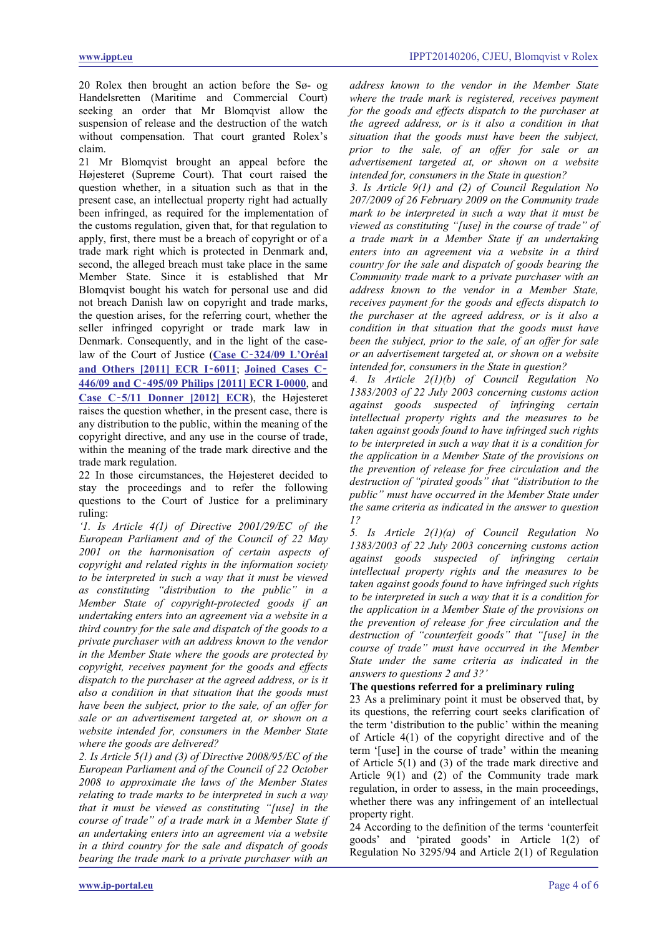20 Rolex then brought an action before the Sø- og Handelsretten (Maritime and Commercial Court) seeking an order that Mr Blomqvist allow the suspension of release and the destruction of the watch without compensation. That court granted Rolex's claim.

21 Mr Blomqvist brought an appeal before the Højesteret (Supreme Court). That court raised the question whether, in a situation such as that in the present case, an intellectual property right had actually been infringed, as required for the implementation of the customs regulation, given that, for that regulation to apply, first, there must be a breach of copyright or of a trade mark right which is protected in Denmark and, second, the alleged breach must take place in the same Member State. Since it is established that Mr Blomqvist bought his watch for personal use and did not breach Danish law on copyright and trade marks, the question arises, for the referring court, whether the seller infringed copyright or trade mark law in Denmark. Consequently, and in the light of the caselaw of the Court of Justice (**Case C**‑**[324/09 L'Oréal](http://ippt.eu/files/2011/IPPT20110712_ECJ_L-Oreal_v_Ebay.pdf)  [and Others \[2011\] ECR I](http://ippt.eu/files/2011/IPPT20110712_ECJ_L-Oreal_v_Ebay.pdf)**‑**6011**; **[Joined Cases C](http://ippt.eu/files/2011/IPPT20111201_ECJ_Philips_v_Nokia.pdf)**‑ **446/09 and C**‑**[495/09 Philips \[2011\] ECR I-0000](http://ippt.eu/files/2011/IPPT20111201_ECJ_Philips_v_Nokia.pdf)**, and **Case C**‑**[5/11 Donner \[2012\] ECR](http://ippt.eu/files/2012/IPPT20120621_ECJ_Donner.pdf)**), the Højesteret raises the question whether, in the present case, there is any distribution to the public, within the meaning of the copyright directive, and any use in the course of trade, within the meaning of the trade mark directive and the trade mark regulation.

22 In those circumstances, the Højesteret decided to stay the proceedings and to refer the following questions to the Court of Justice for a preliminary ruling:

*'1. Is Article 4(1) of Directive 2001/29/EC of the European Parliament and of the Council of 22 May 2001 on the harmonisation of certain aspects of copyright and related rights in the information society to be interpreted in such a way that it must be viewed as constituting "distribution to the public" in a Member State of copyright-protected goods if an undertaking enters into an agreement via a website in a third country for the sale and dispatch of the goods to a private purchaser with an address known to the vendor in the Member State where the goods are protected by copyright, receives payment for the goods and effects dispatch to the purchaser at the agreed address, or is it also a condition in that situation that the goods must have been the subject, prior to the sale, of an offer for sale or an advertisement targeted at, or shown on a website intended for, consumers in the Member State where the goods are delivered?* 

*2. Is Article 5(1) and (3) of Directive 2008/95/EC of the European Parliament and of the Council of 22 October 2008 to approximate the laws of the Member States relating to trade marks to be interpreted in such a way that it must be viewed as constituting "[use] in the course of trade" of a trade mark in a Member State if an undertaking enters into an agreement via a website in a third country for the sale and dispatch of goods bearing the trade mark to a private purchaser with an* 

*address known to the vendor in the Member State where the trade mark is registered, receives payment for the goods and effects dispatch to the purchaser at the agreed address, or is it also a condition in that situation that the goods must have been the subject, prior to the sale, of an offer for sale or an advertisement targeted at, or shown on a website intended for, consumers in the State in question?*

*3. Is Article 9(1) and (2) of Council Regulation No 207/2009 of 26 February 2009 on the Community trade mark to be interpreted in such a way that it must be viewed as constituting "[use] in the course of trade" of a trade mark in a Member State if an undertaking enters into an agreement via a website in a third country for the sale and dispatch of goods bearing the Community trade mark to a private purchaser with an address known to the vendor in a Member State, receives payment for the goods and effects dispatch to the purchaser at the agreed address, or is it also a condition in that situation that the goods must have been the subject, prior to the sale, of an offer for sale or an advertisement targeted at, or shown on a website intended for, consumers in the State in question?*

*4. Is Article 2(1)(b) of Council Regulation No 1383/2003 of 22 July 2003 concerning customs action against goods suspected of infringing certain intellectual property rights and the measures to be taken against goods found to have infringed such rights to be interpreted in such a way that it is a condition for the application in a Member State of the provisions on the prevention of release for free circulation and the destruction of "pirated goods" that "distribution to the public" must have occurred in the Member State under the same criteria as indicated in the answer to question 1?*

*5. Is Article 2(1)(a) of Council Regulation No 1383/2003 of 22 July 2003 concerning customs action against goods suspected of infringing certain intellectual property rights and the measures to be taken against goods found to have infringed such rights to be interpreted in such a way that it is a condition for the application in a Member State of the provisions on the prevention of release for free circulation and the destruction of "counterfeit goods" that "[use] in the course of trade" must have occurred in the Member State under the same criteria as indicated in the answers to questions 2 and 3?'*

### **The questions referred for a preliminary ruling**

23 As a preliminary point it must be observed that, by its questions, the referring court seeks clarification of the term 'distribution to the public' within the meaning of Article 4(1) of the copyright directive and of the term '[use] in the course of trade' within the meaning of Article 5(1) and (3) of the trade mark directive and Article 9(1) and (2) of the Community trade mark regulation, in order to assess, in the main proceedings, whether there was any infringement of an intellectual property right.

24 According to the definition of the terms 'counterfeit goods' and 'pirated goods' in Article 1(2) of Regulation No 3295/94 and Article 2(1) of Regulation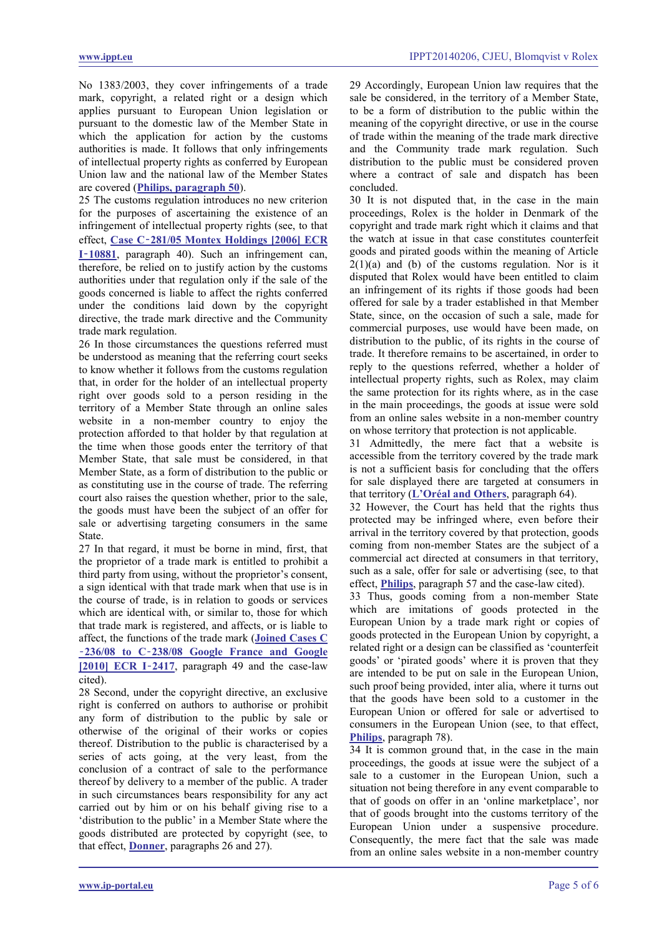No 1383/2003, they cover infringements of a trade mark, copyright, a related right or a design which applies pursuant to European Union legislation or pursuant to the domestic law of the Member State in which the application for action by the customs authorities is made. It follows that only infringements of intellectual property rights as conferred by European Union law and the national law of the Member States are covered (**[Philips, paragraph 50](http://ippt.eu/files/2011/IPPT20111201_ECJ_Philips_v_Nokia.pdf)**).

25 The customs regulation introduces no new criterion for the purposes of ascertaining the existence of an infringement of intellectual property rights (see, to that effect, **Case C**‑**[281/05 Montex Holdings \[2006\] ECR](http://ippt.eu/files/2006/IPPT20061109_ECJ_Montex_v_Diesel.pdf)  I**‑**[10881](http://ippt.eu/files/2006/IPPT20061109_ECJ_Montex_v_Diesel.pdf)**, paragraph 40). Such an infringement can, therefore, be relied on to justify action by the customs authorities under that regulation only if the sale of the goods concerned is liable to affect the rights conferred under the conditions laid down by the copyright directive, the trade mark directive and the Community trade mark regulation.

26 In those circumstances the questions referred must be understood as meaning that the referring court seeks to know whether it follows from the customs regulation that, in order for the holder of an intellectual property right over goods sold to a person residing in the territory of a Member State through an online sales website in a non-member country to enjoy the protection afforded to that holder by that regulation at the time when those goods enter the territory of that Member State, that sale must be considered, in that Member State, as a form of distribution to the public or as constituting use in the course of trade. The referring court also raises the question whether, prior to the sale, the goods must have been the subject of an offer for sale or advertising targeting consumers in the same State.

27 In that regard, it must be borne in mind, first, that the proprietor of a trade mark is entitled to prohibit a third party from using, without the proprietor's consent, a sign identical with that trade mark when that use is in the course of trade, is in relation to goods or services which are identical with, or similar to, those for which that trade mark is registered, and affects, or is liable to affect, the functions of the trade mark (**[Joined Cases C](http://ippt.eu/files/2010/IPPT20100323_ECJ_Google_adwords.pdf)** ‑**236/08 to C**‑**[238/08 Google France and Google](http://ippt.eu/files/2010/IPPT20100323_ECJ_Google_adwords.pdf)**  [\[2010\] ECR I](http://ippt.eu/files/2010/IPPT20100323_ECJ_Google_adwords.pdf)-2417, paragraph 49 and the case-law cited).

28 Second, under the copyright directive, an exclusive right is conferred on authors to authorise or prohibit any form of distribution to the public by sale or otherwise of the original of their works or copies thereof. Distribution to the public is characterised by a series of acts going, at the very least, from the conclusion of a contract of sale to the performance thereof by delivery to a member of the public. A trader in such circumstances bears responsibility for any act carried out by him or on his behalf giving rise to a 'distribution to the public' in a Member State where the goods distributed are protected by copyright (see, to that effect, **[Donner](http://ippt.eu/files/2012/IPPT20120621_ECJ_Donner.pdf)**, paragraphs 26 and 27).

29 Accordingly, European Union law requires that the sale be considered, in the territory of a Member State, to be a form of distribution to the public within the meaning of the copyright directive, or use in the course of trade within the meaning of the trade mark directive and the Community trade mark regulation. Such distribution to the public must be considered proven where a contract of sale and dispatch has been concluded.

30 It is not disputed that, in the case in the main proceedings, Rolex is the holder in Denmark of the copyright and trade mark right which it claims and that the watch at issue in that case constitutes counterfeit goods and pirated goods within the meaning of Article  $2(1)(a)$  and (b) of the customs regulation. Nor is it disputed that Rolex would have been entitled to claim an infringement of its rights if those goods had been offered for sale by a trader established in that Member State, since, on the occasion of such a sale, made for commercial purposes, use would have been made, on distribution to the public, of its rights in the course of trade. It therefore remains to be ascertained, in order to reply to the questions referred, whether a holder of intellectual property rights, such as Rolex, may claim the same protection for its rights where, as in the case in the main proceedings, the goods at issue were sold from an online sales website in a non-member country on whose territory that protection is not applicable.

31 Admittedly, the mere fact that a website is accessible from the territory covered by the trade mark is not a sufficient basis for concluding that the offers for sale displayed there are targeted at consumers in that territory (**[L'Oréal and Others](http://ippt.eu/files/2011/IPPT20110712_ECJ_L-Oreal_v_Ebay.pdf)**, paragraph 64).

32 However, the Court has held that the rights thus protected may be infringed where, even before their arrival in the territory covered by that protection, goods coming from non-member States are the subject of a commercial act directed at consumers in that territory, such as a sale, offer for sale or advertising (see, to that effect, **[Philips](http://ippt.eu/files/2011/IPPT20111201_ECJ_Philips_v_Nokia.pdf)**, paragraph 57 and the case-law cited).

33 Thus, goods coming from a non-member State which are imitations of goods protected in the European Union by a trade mark right or copies of goods protected in the European Union by copyright, a related right or a design can be classified as 'counterfeit goods' or 'pirated goods' where it is proven that they are intended to be put on sale in the European Union, such proof being provided, inter alia, where it turns out that the goods have been sold to a customer in the European Union or offered for sale or advertised to consumers in the European Union (see, to that effect, **[Philips](http://ippt.eu/files/2011/IPPT20111201_ECJ_Philips_v_Nokia.pdf)**, paragraph 78).

34 It is common ground that, in the case in the main proceedings, the goods at issue were the subject of a sale to a customer in the European Union, such a situation not being therefore in any event comparable to that of goods on offer in an 'online marketplace', nor that of goods brought into the customs territory of the European Union under a suspensive procedure. Consequently, the mere fact that the sale was made from an online sales website in a non-member country